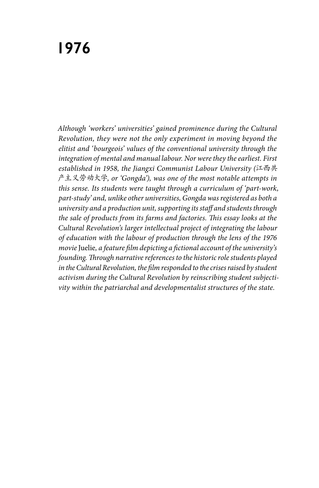## **1976**

*Although 'workers' universities' gained prominence during the Cultural Revolution, they were not the only experiment in moving beyond the elitist and 'bourgeois' values of the conventional university through the integration of mental and manual labour. Nor were they the earliest. First established in 1958, the Jiangxi Communist Labour University (*江西共 产主义劳动大学*, or 'Gongda'), was one of the most notable attempts in this sense. Its students were taught through a curriculum of 'part-work, part-study' and, unlike other universities, Gongda was registered as both a university and a production unit, supporting its staff and students through the sale of products from its farms and factories. This essay looks at the Cultural Revolution's larger intellectual project of integrating the labour of education with the labour of production through the lens of the 1976 movie* Juelie*, a feature film depicting a fictional account of the university's founding. Through narrative references to the historic role students played*  in the Cultural Revolution, the film responded to the crises raised by student *activism during the Cultural Revolution by reinscribing student subjectivity within the patriarchal and developmentalist structures of the state.*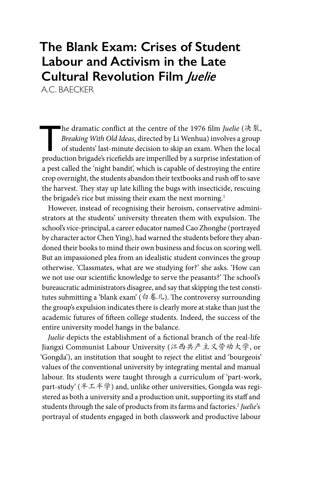## **The Blank Exam: Crises of Student Labour and Activism in the Late Cultural Revolution Film** *Juelie*

A.C. BAECKER

he dramatic conflict at the centre of the 1976 film *Juelie* (決裂,<br>*Breaking With Old Ideas*, directed by Li Wenhua) involves a group<br>of students' last-minute decision to skip an exam. When the local<br>production brigades ri *Breaking With Old Ideas*, directed by Li Wenhua) involves a group of students' last-minute decision to skip an exam. When the local production brigade's ricefields are imperilled by a surprise infestation of a pest called the 'night bandit', which is capable of destroying the entire crop overnight, the students abandon their textbooks and rush off to save the harvest. They stay up late killing the bugs with insecticide, rescuing the brigade's rice but missing their exam the next morning.<sup>1</sup>

However, instead of recognising their heroism, conservative administrators at the students' university threaten them with expulsion. The school's vice-principal, a career educator named Cao Zhonghe (portrayed by character actor Chen Ying), had warned the students before they abandoned their books to mind their own business and focus on scoring well. But an impassioned plea from an idealistic student convinces the group otherwise. 'Classmates, what are we studying for?' she asks. 'How can we not use our scientific knowledge to serve the peasants?' The school's bureaucratic administrators disagree, and say that skipping the test constitutes submitting a 'blank exam' (白卷儿). The controversy surrounding the group's expulsion indicates there is clearly more at stake than just the academic futures of fifteen college students. Indeed, the success of the entire university model hangs in the balance.

*Juelie* depicts the establishment of a fictional branch of the real-life Jiangxi Communist Labour University (江西共产主义劳动大学, or 'Gongda'), an institution that sought to reject the elitist and 'bourgeois' values of the conventional university by integrating mental and manual labour. Its students were taught through a curriculum of 'part-work, part-study' (半工半学) and, unlike other universities, Gongda was registered as both a university and a production unit, supporting its staff and students through the sale of products from its farms and factories.2 *Juelie*'s portrayal of students engaged in both classwork and productive labour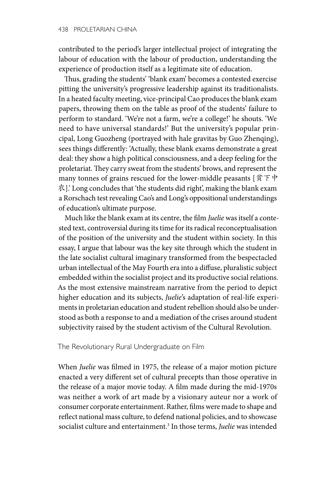contributed to the period's larger intellectual project of integrating the labour of education with the labour of production, understanding the experience of production itself as a legitimate site of education.

Thus, grading the students' 'blank exam' becomes a contested exercise pitting the university's progressive leadership against its traditionalists. In a heated faculty meeting, vice-principal Cao produces the blank exam papers, throwing them on the table as proof of the students' failure to perform to standard. 'We're not a farm, we're a college!' he shouts. 'We need to have universal standards!' But the university's popular principal, Long Guozheng (portrayed with hale gravitas by Guo Zhenqing), sees things differently: 'Actually, these blank exams demonstrate a great deal: they show a high political consciousness, and a deep feeling for the proletariat. They carry sweat from the students' brows, and represent the many tonnes of grains rescued for the lower-middle peasants  $[  $\frac{\hat{x}}{\hat{y}}$   $\neq$   $\frac{\hat{y}}{\hat{y}}$$ 农].' Long concludes that 'the students did right', making the blank exam a Rorschach test revealing Cao's and Long's oppositional understandings of education's ultimate purpose.

Much like the blank exam at its centre, the film *Juelie* was itself a contested text, controversial during its time for its radical reconceptualisation of the position of the university and the student within society. In this essay, I argue that labour was the key site through which the student in the late socialist cultural imaginary transformed from the bespectacled urban intellectual of the May Fourth era into a diffuse, pluralistic subject embedded within the socialist project and its productive social relations. As the most extensive mainstream narrative from the period to depict higher education and its subjects, *Juelie*'s adaptation of real-life experiments in proletarian education and student rebellion should also be understood as both a response to and a mediation of the crises around student subjectivity raised by the student activism of the Cultural Revolution.

The Revolutionary Rural Undergraduate on Film

When *Juelie* was filmed in 1975, the release of a major motion picture enacted a very different set of cultural precepts than those operative in the release of a major movie today. A film made during the mid-1970s was neither a work of art made by a visionary auteur nor a work of consumer corporate entertainment. Rather, films were made to shape and reflect national mass culture, to defend national policies, and to showcase socialist culture and entertainment.3 In those terms, *Juelie* was intended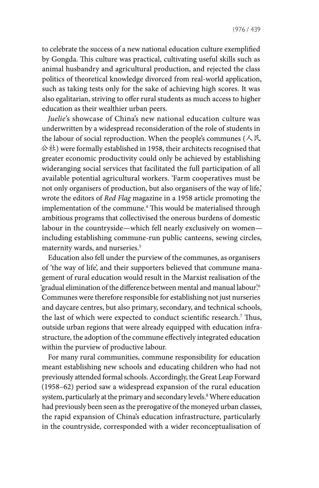to celebrate the success of a new national education culture exemplified by Gongda. This culture was practical, cultivating useful skills such as animal husbandry and agricultural production, and rejected the class politics of theoretical knowledge divorced from real-world application, such as taking tests only for the sake of achieving high scores. It was also egalitarian, striving to offer rural students as much access to higher education as their wealthier urban peers.

*Juelie*'s showcase of China's new national education culture was underwritten by a widespread reconsideration of the role of students in the labour of social reproduction. When the people's communes ( $\angle$ 民 公社) were formally established in 1958, their architects recognised that greater economic productivity could only be achieved by establishing wideranging social services that facilitated the full participation of all available potential agricultural workers. 'Farm cooperatives must be not only organisers of production, but also organisers of the way of life,' wrote the editors of *Red Flag* magazine in a 1958 article promoting the implementation of the commune.4 This would be materialised through ambitious programs that collectivised the onerous burdens of domestic labour in the countryside—which fell nearly exclusively on women including establishing commune-run public canteens, sewing circles, maternity wards, and nurseries.<sup>5</sup>

Education also fell under the purview of the communes, as organisers of 'the way of life', and their supporters believed that commune management of rural education would result in the Marxist realisation of the 'gradual elimination of the difference between mental and manual labour'.6 Communes were therefore responsible for establishing not just nurseries and daycare centres, but also primary, secondary, and technical schools, the last of which were expected to conduct scientific research.7 Thus, outside urban regions that were already equipped with education infrastructure, the adoption of the commune effectively integrated education within the purview of productive labour.

For many rural communities, commune responsibility for education meant establishing new schools and educating children who had not previously attended formal schools. Accordingly, the Great Leap Forward (1958–62) period saw a widespread expansion of the rural education system, particularly at the primary and secondary levels.<sup>8</sup> Where education had previously been seen as the prerogative of the moneyed urban classes, the rapid expansion of China's education infrastructure, particularly in the countryside, corresponded with a wider reconceptualisation of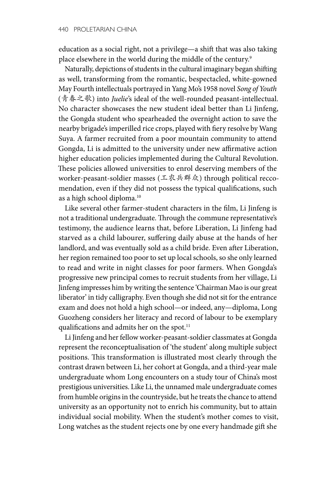education as a social right, not a privilege—a shift that was also taking place elsewhere in the world during the middle of the century.<sup>9</sup>

Naturally, depictions of students in the cultural imaginary began shifting as well, transforming from the romantic, bespectacled, white-gowned May Fourth intellectuals portrayed in Yang Mo's 1958 novel *Song of Youth*  (青春之歌) into *Juelie*'s ideal of the well-rounded peasant-intellectual. No character showcases the new student ideal better than Li Jinfeng, the Gongda student who spearheaded the overnight action to save the nearby brigade's imperilled rice crops, played with fiery resolve by Wang Suya. A farmer recruited from a poor mountain community to attend Gongda, Li is admitted to the university under new affirmative action higher education policies implemented during the Cultural Revolution. These policies allowed universities to enrol deserving members of the worker-peasant-soldier masses (工农兵群众) through political reccomendation, even if they did not possess the typical qualifications, such as a high school diploma.10

Like several other farmer-student characters in the film, Li Jinfeng is not a traditional undergraduate. Through the commune representative's testimony, the audience learns that, before Liberation, Li Jinfeng had starved as a child labourer, suffering daily abuse at the hands of her landlord, and was eventually sold as a child bride. Even after Liberation, her region remained too poor to set up local schools, so she only learned to read and write in night classes for poor farmers. When Gongda's progressive new principal comes to recruit students from her village, Li Jinfeng impresses him by writing the sentence 'Chairman Mao is our great liberator' in tidy calligraphy. Even though she did not sit for the entrance exam and does not hold a high school—or indeed, any—diploma, Long Guozheng considers her literacy and record of labour to be exemplary qualifications and admits her on the spot.<sup>11</sup>

Li Jinfeng and her fellow worker-peasant-soldier classmates at Gongda represent the reconceptualisation of 'the student' along multiple subject positions. This transformation is illustrated most clearly through the contrast drawn between Li, her cohort at Gongda, and a third-year male undergraduate whom Long encounters on a study tour of China's most prestigious universities. Like Li, the unnamed male undergraduate comes from humble origins in the countryside, but he treats the chance to attend university as an opportunity not to enrich his community, but to attain individual social mobility. When the student's mother comes to visit, Long watches as the student rejects one by one every handmade gift she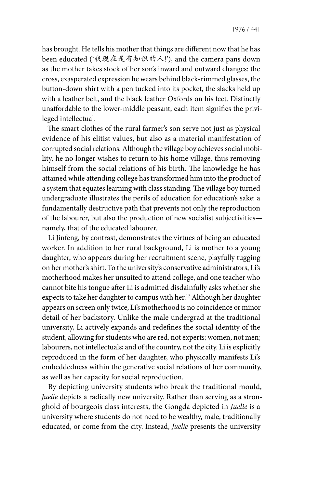has brought. He tells his mother that things are different now that he has been educated ('我现在是有知识的人!'), and the camera pans down as the mother takes stock of her son's inward and outward changes: the cross, exasperated expression he wears behind black-rimmed glasses, the button-down shirt with a pen tucked into its pocket, the slacks held up with a leather belt, and the black leather Oxfords on his feet. Distinctly unaffordable to the lower-middle peasant, each item signifies the privileged intellectual.

The smart clothes of the rural farmer's son serve not just as physical evidence of his elitist values, but also as a material manifestation of corrupted social relations. Although the village boy achieves social mobility, he no longer wishes to return to his home village, thus removing himself from the social relations of his birth. The knowledge he has attained while attending college has transformed him into the product of a system that equates learning with class standing. The village boy turned undergraduate illustrates the perils of education for education's sake: a fundamentally destructive path that prevents not only the reproduction of the labourer, but also the production of new socialist subjectivities namely, that of the educated labourer.

Li Jinfeng, by contrast, demonstrates the virtues of being an educated worker. In addition to her rural background, Li is mother to a young daughter, who appears during her recruitment scene, playfully tugging on her mother's shirt. To the university's conservative administrators, Li's motherhood makes her unsuited to attend college, and one teacher who cannot bite his tongue after Li is admitted disdainfully asks whether she expects to take her daughter to campus with her.<sup>12</sup> Although her daughter appears on screen only twice, Li's motherhood is no coincidence or minor detail of her backstory. Unlike the male undergrad at the traditional university, Li actively expands and redefines the social identity of the student, allowing for students who are red, not experts; women, not men; labourers, not intellectuals; and of the country, not the city. Li is explicitly reproduced in the form of her daughter, who physically manifests Li's embeddedness within the generative social relations of her community, as well as her capacity for social reproduction.

By depicting university students who break the traditional mould, *Juelie* depicts a radically new university. Rather than serving as a stronghold of bourgeois class interests, the Gongda depicted in *Juelie* is a university where students do not need to be wealthy, male, traditionally educated, or come from the city. Instead, *Juelie* presents the university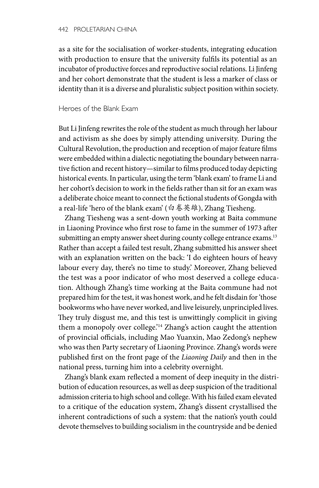as a site for the socialisation of worker-students, integrating education with production to ensure that the university fulfils its potential as an incubator of productive forces and reproductive social relations. Li Jinfeng and her cohort demonstrate that the student is less a marker of class or identity than it is a diverse and pluralistic subject position within society.

## Heroes of the Blank Exam

But Li Jinfeng rewrites the role of the student as much through her labour and activism as she does by simply attending university. During the Cultural Revolution, the production and reception of major feature films were embedded within a dialectic negotiating the boundary between narrative fiction and recent history—similar to films produced today depicting historical events. In particular, using the term 'blank exam' to frame Li and her cohort's decision to work in the fields rather than sit for an exam was a deliberate choice meant to connect the fictional students of Gongda with a real-life 'hero of the blank exam' (白卷英雄), Zhang Tiesheng.

Zhang Tiesheng was a sent-down youth working at Baita commune in Liaoning Province who first rose to fame in the summer of 1973 after submitting an empty answer sheet during county college entrance exams.<sup>13</sup> Rather than accept a failed test result, Zhang submitted his answer sheet with an explanation written on the back: 'I do eighteen hours of heavy labour every day, there's no time to study.' Moreover, Zhang believed the test was a poor indicator of who most deserved a college education. Although Zhang's time working at the Baita commune had not prepared him for the test, it was honest work, and he felt disdain for 'those bookworms who have never worked, and live leisurely, unprincipled lives. They truly disgust me, and this test is unwittingly complicit in giving them a monopoly over college.'<sup>14</sup> Zhang's action caught the attention of provincial officials, including Mao Yuanxin, Mao Zedong's nephew who was then Party secretary of Liaoning Province. Zhang's words were published first on the front page of the *Liaoning Daily* and then in the national press, turning him into a celebrity overnight.

Zhang's blank exam reflected a moment of deep inequity in the distribution of education resources, as well as deep suspicion of the traditional admission criteria to high school and college. With his failed exam elevated to a critique of the education system, Zhang's dissent crystallised the inherent contradictions of such a system: that the nation's youth could devote themselves to building socialism in the countryside and be denied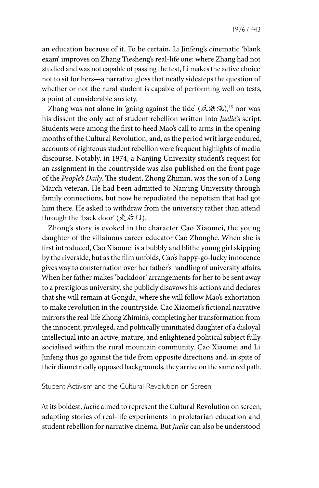an education because of it. To be certain, Li Jinfeng's cinematic 'blank exam' improves on Zhang Tiesheng's real-life one: where Zhang had not studied and was not capable of passing the test, Li makes the active choice not to sit for hers—a narrative gloss that neatly sidesteps the question of whether or not the rural student is capable of performing well on tests, a point of considerable anxiety.

Zhang was not alone in 'going against the tide' (反潮流),<sup>15</sup> nor was his dissent the only act of student rebellion written into *Juelie*'s script. Students were among the first to heed Mao's call to arms in the opening months of the Cultural Revolution, and, as the period writ large endured, accounts of righteous student rebellion were frequent highlights of media discourse. Notably, in 1974, a Nanjing University student's request for an assignment in the countryside was also published on the front page of the *People's Daily.* The student, Zhong Zhimin, was the son of a Long March veteran. He had been admitted to Nanjing University through family connections, but now he repudiated the nepotism that had got him there. He asked to withdraw from the university rather than attend through the 'back door' (走后门).

Zhong's story is evoked in the character Cao Xiaomei, the young daughter of the villainous career educator Cao Zhonghe. When she is first introduced, Cao Xiaomei is a bubbly and blithe young girl skipping by the riverside, but as the film unfolds, Cao's happy-go-lucky innocence gives way to consternation over her father's handling of university affairs. When her father makes 'backdoor' arrangements for her to be sent away to a prestigious university, she publicly disavows his actions and declares that she will remain at Gongda, where she will follow Mao's exhortation to make revolution in the countryside. Cao Xiaomei's fictional narrative mirrors the real-life Zhong Zhimin's, completing her transformation from the innocent, privileged, and politically uninitiated daughter of a disloyal intellectual into an active, mature, and enlightened political subject fully socialised within the rural mountain community. Cao Xiaomei and Li Jinfeng thus go against the tide from opposite directions and, in spite of their diametrically opposed backgrounds, they arrive on the same red path.

## Student Activism and the Cultural Revolution on Screen

At its boldest, *Juelie* aimed to represent the Cultural Revolution on screen, adapting stories of real-life experiments in proletarian education and student rebellion for narrative cinema. But *Juelie* can also be understood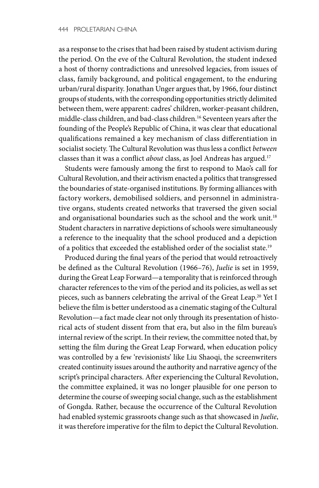as a response to the crises that had been raised by student activism during the period. On the eve of the Cultural Revolution, the student indexed a host of thorny contradictions and unresolved legacies, from issues of class, family background, and political engagement, to the enduring urban/rural disparity. Jonathan Unger argues that, by 1966, four distinct groups of students, with the corresponding opportunities strictly delimited between them, were apparent: cadres' children, worker-peasant children, middle-class children, and bad-class children.16 Seventeen years after the founding of the People's Republic of China, it was clear that educational qualifications remained a key mechanism of class differentiation in socialist society. The Cultural Revolution was thus less a conflict *between* classes than it was a conflict *about* class, as Joel Andreas has argued.17

Students were famously among the first to respond to Mao's call for Cultural Revolution, and their activism enacted a politics that transgressed the boundaries of state-organised institutions. By forming alliances with factory workers, demobilised soldiers, and personnel in administrative organs, students created networks that traversed the given social and organisational boundaries such as the school and the work unit.<sup>18</sup> Student characters in narrative depictions of schools were simultaneously a reference to the inequality that the school produced and a depiction of a politics that exceeded the established order of the socialist state.19

Produced during the final years of the period that would retroactively be defined as the Cultural Revolution (1966–76), *Juelie* is set in 1959, during the Great Leap Forward—a temporality that is reinforced through character references to the vim of the period and its policies, as well as set pieces, such as banners celebrating the arrival of the Great Leap.<sup>20</sup> Yet I believe the film is better understood as a cinematic staging of the Cultural Revolution—a fact made clear not only through its presentation of historical acts of student dissent from that era, but also in the film bureau's internal review of the script. In their review, the committee noted that, by setting the film during the Great Leap Forward, when education policy was controlled by a few 'revisionists' like Liu Shaoqi, the screenwriters created continuity issues around the authority and narrative agency of the script's principal characters. After experiencing the Cultural Revolution, the committee explained, it was no longer plausible for one person to determine the course of sweeping social change, such as the establishment of Gongda. Rather, because the occurrence of the Cultural Revolution had enabled systemic grassroots change such as that showcased in *Juelie*, it was therefore imperative for the film to depict the Cultural Revolution.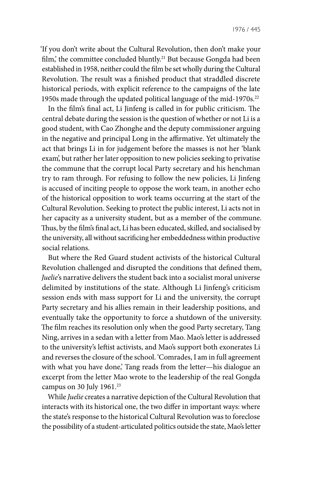'If you don't write about the Cultural Revolution, then don't make your film,' the committee concluded bluntly.<sup>21</sup> But because Gongda had been established in 1958, neither could the film be set wholly during the Cultural Revolution. The result was a finished product that straddled discrete historical periods, with explicit reference to the campaigns of the late 1950s made through the updated political language of the mid-1970s.<sup>22</sup>

In the film's final act, Li Jinfeng is called in for public criticism. The central debate during the session is the question of whether or not Li is a good student, with Cao Zhonghe and the deputy commissioner arguing in the negative and principal Long in the affirmative. Yet ultimately the act that brings Li in for judgement before the masses is not her 'blank exam', but rather her later opposition to new policies seeking to privatise the commune that the corrupt local Party secretary and his henchman try to ram through. For refusing to follow the new policies, Li Jinfeng is accused of inciting people to oppose the work team, in another echo of the historical opposition to work teams occurring at the start of the Cultural Revolution. Seeking to protect the public interest, Li acts not in her capacity as a university student, but as a member of the commune. Thus, by the film's final act, Li has been educated, skilled, and socialised by the university, all without sacrificing her embeddedness within productive social relations.

But where the Red Guard student activists of the historical Cultural Revolution challenged and disrupted the conditions that defined them, *Juelie*'s narrative delivers the student back into a socialist moral universe delimited by institutions of the state. Although Li Jinfeng's criticism session ends with mass support for Li and the university, the corrupt Party secretary and his allies remain in their leadership positions, and eventually take the opportunity to force a shutdown of the university. The film reaches its resolution only when the good Party secretary, Tang Ning, arrives in a sedan with a letter from Mao. Mao's letter is addressed to the university's leftist activists, and Mao's support both exonerates Li and reverses the closure of the school. 'Comrades, I am in full agreement with what you have done,' Tang reads from the letter—his dialogue an excerpt from the letter Mao wrote to the leadership of the real Gongda campus on 30 July 1961.<sup>23</sup>

While *Juelie* creates a narrative depiction of the Cultural Revolution that interacts with its historical one, the two differ in important ways: where the state's response to the historical Cultural Revolution was to foreclose the possibility of a student-articulated politics outside the state, Mao's letter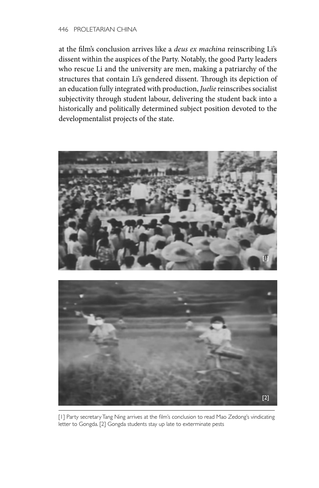at the film's conclusion arrives like a *deus ex machina* reinscribing Li's dissent within the auspices of the Party. Notably, the good Party leaders who rescue Li and the university are men, making a patriarchy of the structures that contain Li's gendered dissent. Through its depiction of an education fully integrated with production, *Juelie* reinscribes socialist subjectivity through student labour, delivering the student back into a historically and politically determined subject position devoted to the developmentalist projects of the state.





[1] Party secretary Tang Ning arrives at the film's conclusion to read Mao Zedong's vindicating letter to Gongda. [2] Gongda students stay up late to exterminate pests